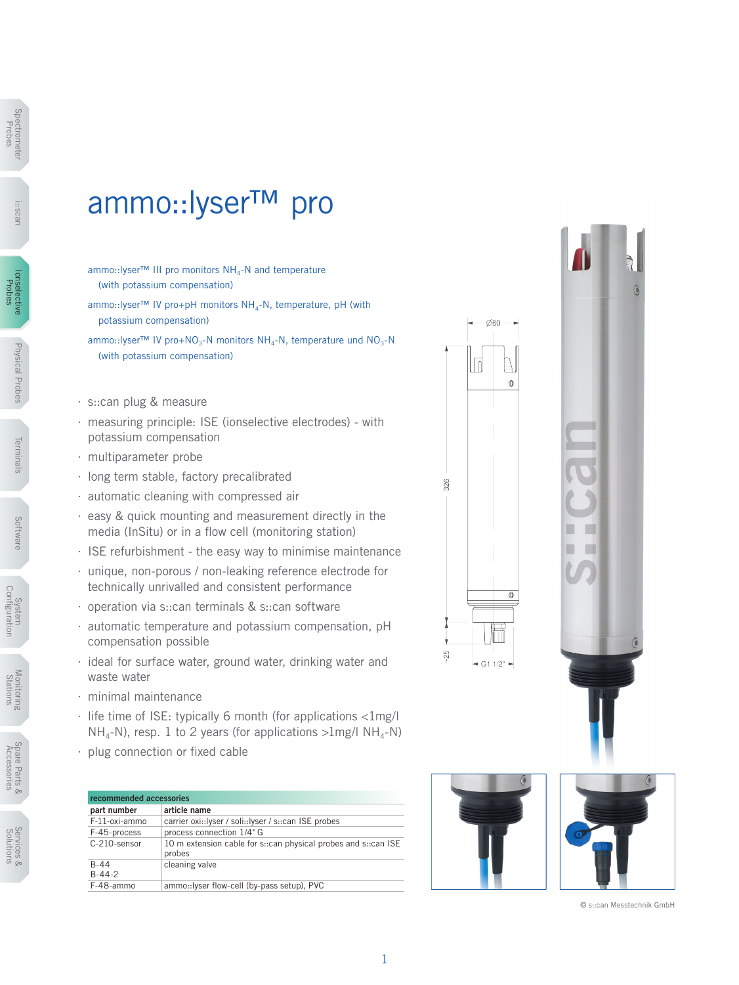## ammo::lyser™ pro

- ammo::lyser™ III pro monitors NH<sub>4</sub>-N and temperature (with potassium compensation)
- ammo::lyser™ IV pro+pH monitors NH<sub>4</sub>-N, temperature, pH (with potassium compensation)
- ammo::lyser™ IV pro+NO<sub>3</sub>-N monitors NH<sub>4</sub>-N, temperature und NO<sub>3</sub>-N (with potassium compensation)
- ∙ s::can plug & measure
- ∙ measuring principle: ISE (ionselective electrodes) with potassium compensation
- ∙ multiparameter probe
- ∙ long term stable, factory precalibrated
- ∙ automatic cleaning with compressed air
- ∙ easy & quick mounting and measurement directly in the media (InSitu) or in a flow cell (monitoring station)
- ∙ ISE refurbishment the easy way to minimise maintenance
- ∙ unique, non-porous / non-leaking reference electrode for technically unrivalled and consistent performance
- ∙ operation via s::can terminals & s::can software
- ∙ automatic temperature and potassium compensation, pH compensation possible
- ∙ ideal for surface water, ground water, drinking water and waste water
- ∙ minimal maintenance
- ∙ life time of ISE: typically 6 month (for applications <1mg/l  $NH_{4}-N$ ), resp. 1 to 2 years (for applications  $>1$ mg/l NH<sub>4</sub>-N)
- ∙ plug connection or fixed cable

| recommended accessories |                                                                          |  |  |  |  |  |
|-------------------------|--------------------------------------------------------------------------|--|--|--|--|--|
| part number             | article name                                                             |  |  |  |  |  |
| F-11-oxi-ammo           | carrier oxi::Iyser / soli::Iyser / s::can ISE probes                     |  |  |  |  |  |
| F-45-process            | process connection 1/4" G                                                |  |  |  |  |  |
| C-210-sensor            | 10 m extension cable for s::can physical probes and s::can ISE<br>probes |  |  |  |  |  |
| $B-44$<br>$B-44-2$      | cleaning valve                                                           |  |  |  |  |  |
| F-48-ammo               | ammo::lyser flow-cell (by-pass setup), PVC                               |  |  |  |  |  |



© s::can Messtechnik GmbH



i::scan

Monitoring **NOTIFICITIES**<br>Stations

> Spare Parts & Accessories

Spare Parts &<br>Accessories